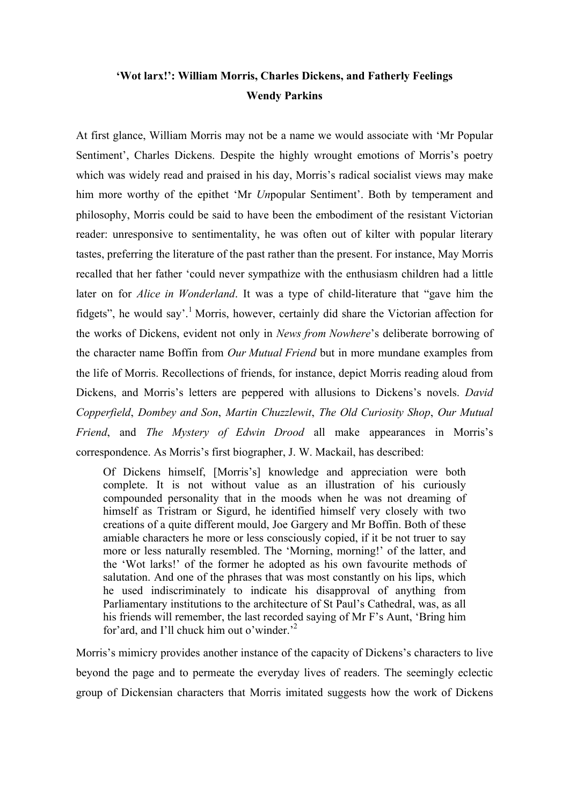## **'Wot larx!': William Morris, Charles Dickens, and Fatherly Feelings Wendy Parkins**

At first glance, William Morris may not be a name we would associate with 'Mr Popular Sentiment', Charles Dickens. Despite the highly wrought emotions of Morris's poetry which was widely read and praised in his day, Morris's radical socialist views may make him more worthy of the epithet 'Mr *Un*popular Sentiment'. Both by temperament and philosophy, Morris could be said to have been the embodiment of the resistant Victorian reader: unresponsive to sentimentality, he was often out of kilter with popular literary tastes, preferring the literature of the past rather than the present. For instance, May Morris recalled that her father 'could never sympathize with the enthusiasm children had a little later on for *Alice in Wonderland*. It was a type of child-literature that "gave him the fidgets", he would say'. <sup>1</sup> Morris, however, certainly did share the Victorian affection for the works of Dickens, evident not only in *News from Nowhere*'s deliberate borrowing of the character name Boffin from *Our Mutual Friend* but in more mundane examples from the life of Morris. Recollections of friends, for instance, depict Morris reading aloud from Dickens, and Morris's letters are peppered with allusions to Dickens's novels. *David Copperfield*, *Dombey and Son*, *Martin Chuzzlewit*, *The Old Curiosity Shop*, *Our Mutual Friend*, and *The Mystery of Edwin Drood* all make appearances in Morris's correspondence. As Morris's first biographer, J. W. Mackail, has described:

Of Dickens himself, [Morris's] knowledge and appreciation were both complete. It is not without value as an illustration of his curiously compounded personality that in the moods when he was not dreaming of himself as Tristram or Sigurd, he identified himself very closely with two creations of a quite different mould, Joe Gargery and Mr Boffin. Both of these amiable characters he more or less consciously copied, if it be not truer to say more or less naturally resembled. The 'Morning, morning!' of the latter, and the 'Wot larks!' of the former he adopted as his own favourite methods of salutation. And one of the phrases that was most constantly on his lips, which he used indiscriminately to indicate his disapproval of anything from Parliamentary institutions to the architecture of St Paul's Cathedral, was, as all his friends will remember, the last recorded saying of Mr F's Aunt, 'Bring him for'ard, and I'll chuck him out o'winder.<sup>2</sup>

Morris's mimicry provides another instance of the capacity of Dickens's characters to live beyond the page and to permeate the everyday lives of readers. The seemingly eclectic group of Dickensian characters that Morris imitated suggests how the work of Dickens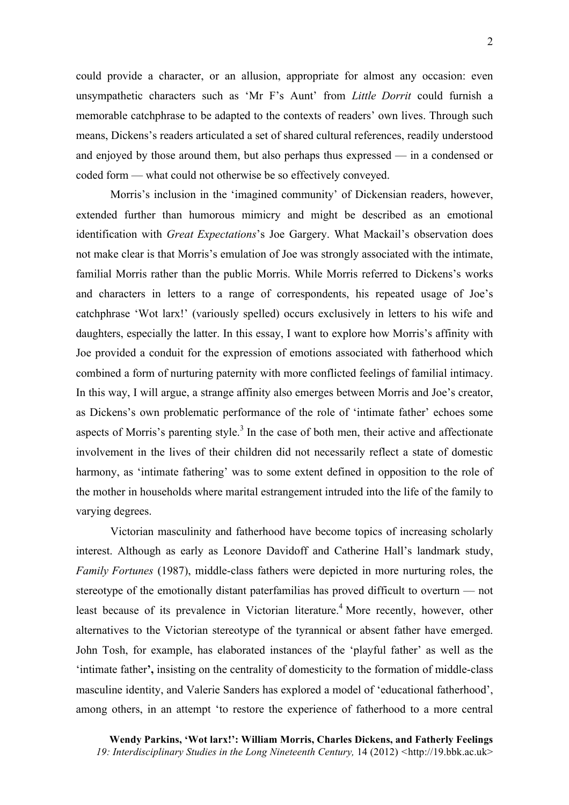could provide a character, or an allusion, appropriate for almost any occasion: even unsympathetic characters such as 'Mr F's Aunt' from *Little Dorrit* could furnish a memorable catchphrase to be adapted to the contexts of readers' own lives. Through such means, Dickens's readers articulated a set of shared cultural references, readily understood and enjoyed by those around them, but also perhaps thus expressed — in a condensed or coded form — what could not otherwise be so effectively conveyed.

Morris's inclusion in the 'imagined community' of Dickensian readers, however, extended further than humorous mimicry and might be described as an emotional identification with *Great Expectations*'s Joe Gargery. What Mackail's observation does not make clear is that Morris's emulation of Joe was strongly associated with the intimate, familial Morris rather than the public Morris. While Morris referred to Dickens's works and characters in letters to a range of correspondents, his repeated usage of Joe's catchphrase 'Wot larx!' (variously spelled) occurs exclusively in letters to his wife and daughters, especially the latter. In this essay, I want to explore how Morris's affinity with Joe provided a conduit for the expression of emotions associated with fatherhood which combined a form of nurturing paternity with more conflicted feelings of familial intimacy. In this way, I will argue, a strange affinity also emerges between Morris and Joe's creator, as Dickens's own problematic performance of the role of 'intimate father' echoes some aspects of Morris's parenting style.<sup>3</sup> In the case of both men, their active and affectionate involvement in the lives of their children did not necessarily reflect a state of domestic harmony, as 'intimate fathering' was to some extent defined in opposition to the role of the mother in households where marital estrangement intruded into the life of the family to varying degrees.

Victorian masculinity and fatherhood have become topics of increasing scholarly interest. Although as early as Leonore Davidoff and Catherine Hall's landmark study, *Family Fortunes* (1987), middle-class fathers were depicted in more nurturing roles, the stereotype of the emotionally distant paterfamilias has proved difficult to overturn — not least because of its prevalence in Victorian literature.<sup>4</sup> More recently, however, other alternatives to the Victorian stereotype of the tyrannical or absent father have emerged. John Tosh, for example, has elaborated instances of the 'playful father' as well as the 'intimate father**',** insisting on the centrality of domesticity to the formation of middle-class masculine identity, and Valerie Sanders has explored a model of 'educational fatherhood', among others, in an attempt 'to restore the experience of fatherhood to a more central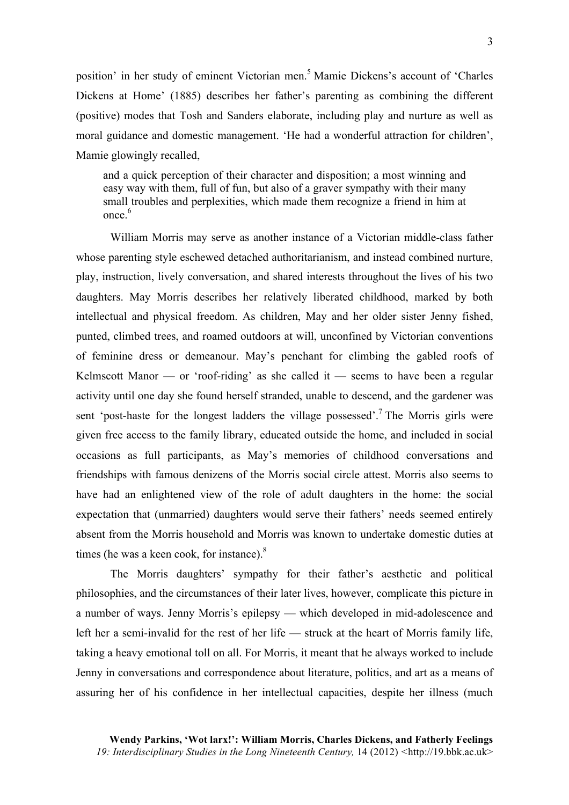position' in her study of eminent Victorian men. <sup>5</sup> Mamie Dickens's account of 'Charles Dickens at Home' (1885) describes her father's parenting as combining the different (positive) modes that Tosh and Sanders elaborate, including play and nurture as well as moral guidance and domestic management. 'He had a wonderful attraction for children', Mamie glowingly recalled,

and a quick perception of their character and disposition; a most winning and easy way with them, full of fun, but also of a graver sympathy with their many small troubles and perplexities, which made them recognize a friend in him at once <sup>6</sup>

William Morris may serve as another instance of a Victorian middle-class father whose parenting style eschewed detached authoritarianism, and instead combined nurture, play, instruction, lively conversation, and shared interests throughout the lives of his two daughters. May Morris describes her relatively liberated childhood, marked by both intellectual and physical freedom. As children, May and her older sister Jenny fished, punted, climbed trees, and roamed outdoors at will, unconfined by Victorian conventions of feminine dress or demeanour. May's penchant for climbing the gabled roofs of Kelmscott Manor — or 'roof-riding' as she called it — seems to have been a regular activity until one day she found herself stranded, unable to descend, and the gardener was sent 'post-haste for the longest ladders the village possessed'.<sup>7</sup> The Morris girls were given free access to the family library, educated outside the home, and included in social occasions as full participants, as May's memories of childhood conversations and friendships with famous denizens of the Morris social circle attest. Morris also seems to have had an enlightened view of the role of adult daughters in the home: the social expectation that (unmarried) daughters would serve their fathers' needs seemed entirely absent from the Morris household and Morris was known to undertake domestic duties at times (he was a keen cook, for instance). $8$ 

The Morris daughters' sympathy for their father's aesthetic and political philosophies, and the circumstances of their later lives, however, complicate this picture in a number of ways. Jenny Morris's epilepsy — which developed in mid-adolescence and left her a semi-invalid for the rest of her life — struck at the heart of Morris family life, taking a heavy emotional toll on all. For Morris, it meant that he always worked to include Jenny in conversations and correspondence about literature, politics, and art as a means of assuring her of his confidence in her intellectual capacities, despite her illness (much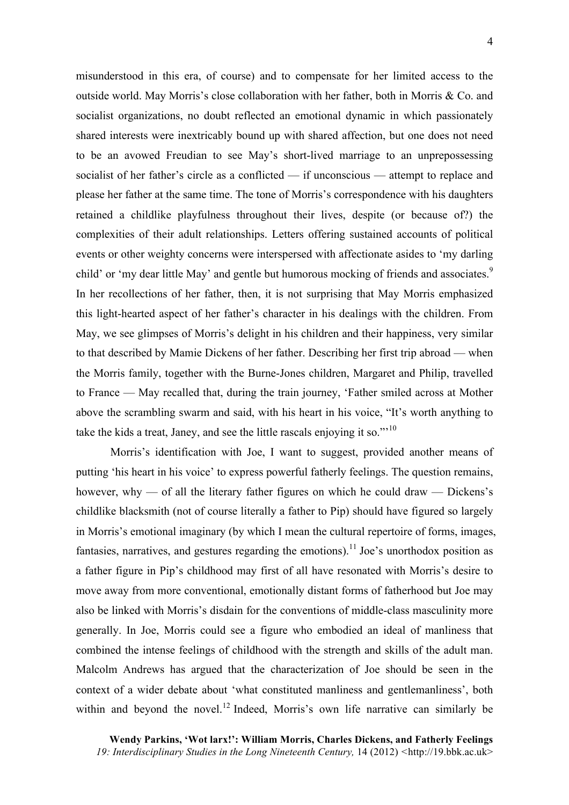misunderstood in this era, of course) and to compensate for her limited access to the outside world. May Morris's close collaboration with her father, both in Morris & Co. and socialist organizations, no doubt reflected an emotional dynamic in which passionately shared interests were inextricably bound up with shared affection, but one does not need to be an avowed Freudian to see May's short-lived marriage to an unprepossessing socialist of her father's circle as a conflicted — if unconscious — attempt to replace and please her father at the same time. The tone of Morris's correspondence with his daughters retained a childlike playfulness throughout their lives, despite (or because of?) the complexities of their adult relationships. Letters offering sustained accounts of political events or other weighty concerns were interspersed with affectionate asides to 'my darling child' or 'my dear little May' and gentle but humorous mocking of friends and associates.<sup>9</sup> In her recollections of her father, then, it is not surprising that May Morris emphasized this light-hearted aspect of her father's character in his dealings with the children. From May, we see glimpses of Morris's delight in his children and their happiness, very similar to that described by Mamie Dickens of her father. Describing her first trip abroad — when the Morris family, together with the Burne-Jones children, Margaret and Philip, travelled to France — May recalled that, during the train journey, 'Father smiled across at Mother above the scrambling swarm and said, with his heart in his voice, "It's worth anything to take the kids a treat, Janey, and see the little rascals enjoying it so."<sup>10</sup>

Morris's identification with Joe, I want to suggest, provided another means of putting 'his heart in his voice' to express powerful fatherly feelings. The question remains, however, why — of all the literary father figures on which he could draw — Dickens's childlike blacksmith (not of course literally a father to Pip) should have figured so largely in Morris's emotional imaginary (by which I mean the cultural repertoire of forms, images, fantasies, narratives, and gestures regarding the emotions).<sup>11</sup> Joe's unorthodox position as a father figure in Pip's childhood may first of all have resonated with Morris's desire to move away from more conventional, emotionally distant forms of fatherhood but Joe may also be linked with Morris's disdain for the conventions of middle-class masculinity more generally. In Joe, Morris could see a figure who embodied an ideal of manliness that combined the intense feelings of childhood with the strength and skills of the adult man. Malcolm Andrews has argued that the characterization of Joe should be seen in the context of a wider debate about 'what constituted manliness and gentlemanliness', both within and beyond the novel.<sup>12</sup> Indeed, Morris's own life narrative can similarly be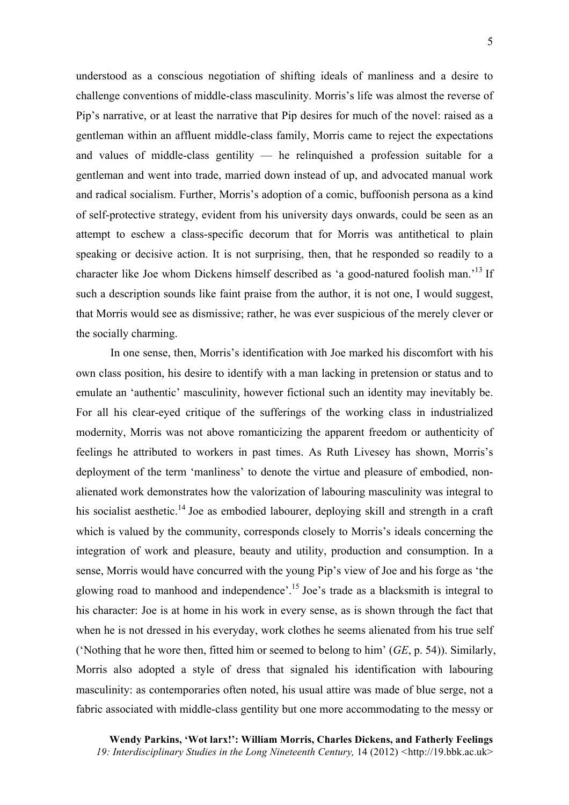understood as a conscious negotiation of shifting ideals of manliness and a desire to challenge conventions of middle-class masculinity. Morris's life was almost the reverse of Pip's narrative, or at least the narrative that Pip desires for much of the novel: raised as a gentleman within an affluent middle-class family, Morris came to reject the expectations and values of middle-class gentility — he relinquished a profession suitable for a gentleman and went into trade, married down instead of up, and advocated manual work and radical socialism. Further, Morris's adoption of a comic, buffoonish persona as a kind of self-protective strategy, evident from his university days onwards, could be seen as an attempt to eschew a class-specific decorum that for Morris was antithetical to plain speaking or decisive action. It is not surprising, then, that he responded so readily to a character like Joe whom Dickens himself described as 'a good-natured foolish man.'13 If such a description sounds like faint praise from the author, it is not one, I would suggest, that Morris would see as dismissive; rather, he was ever suspicious of the merely clever or the socially charming.

In one sense, then, Morris's identification with Joe marked his discomfort with his own class position, his desire to identify with a man lacking in pretension or status and to emulate an 'authentic' masculinity, however fictional such an identity may inevitably be. For all his clear-eyed critique of the sufferings of the working class in industrialized modernity, Morris was not above romanticizing the apparent freedom or authenticity of feelings he attributed to workers in past times. As Ruth Livesey has shown, Morris's deployment of the term 'manliness' to denote the virtue and pleasure of embodied, nonalienated work demonstrates how the valorization of labouring masculinity was integral to his socialist aesthetic.<sup>14</sup> Joe as embodied labourer, deploying skill and strength in a craft which is valued by the community, corresponds closely to Morris's ideals concerning the integration of work and pleasure, beauty and utility, production and consumption. In a sense, Morris would have concurred with the young Pip's view of Joe and his forge as 'the glowing road to manhood and independence'. <sup>15</sup> Joe's trade as a blacksmith is integral to his character: Joe is at home in his work in every sense, as is shown through the fact that when he is not dressed in his everyday, work clothes he seems alienated from his true self ('Nothing that he wore then, fitted him or seemed to belong to him' (*GE*, p. 54)). Similarly, Morris also adopted a style of dress that signaled his identification with labouring masculinity: as contemporaries often noted, his usual attire was made of blue serge, not a fabric associated with middle-class gentility but one more accommodating to the messy or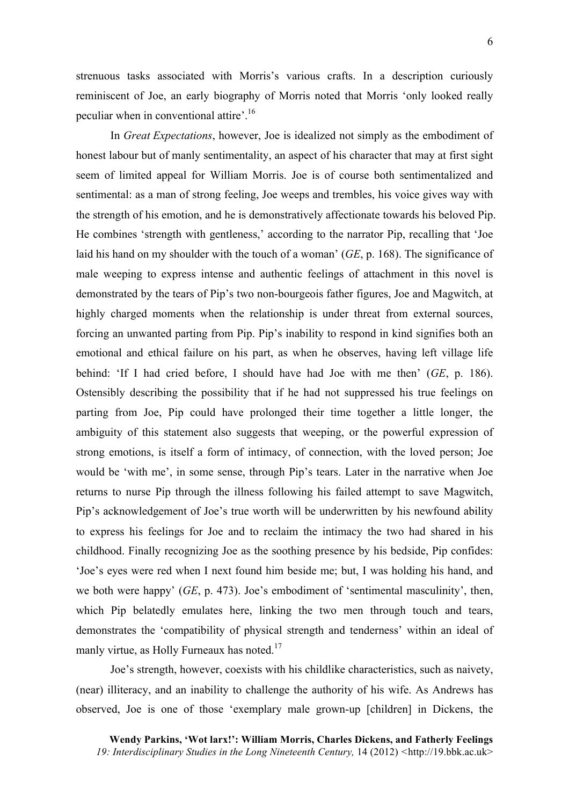strenuous tasks associated with Morris's various crafts. In a description curiously reminiscent of Joe, an early biography of Morris noted that Morris 'only looked really peculiar when in conventional attire'. 16

In *Great Expectations*, however, Joe is idealized not simply as the embodiment of honest labour but of manly sentimentality, an aspect of his character that may at first sight seem of limited appeal for William Morris. Joe is of course both sentimentalized and sentimental: as a man of strong feeling, Joe weeps and trembles, his voice gives way with the strength of his emotion, and he is demonstratively affectionate towards his beloved Pip. He combines 'strength with gentleness,' according to the narrator Pip, recalling that 'Joe laid his hand on my shoulder with the touch of a woman' (*GE*, p. 168). The significance of male weeping to express intense and authentic feelings of attachment in this novel is demonstrated by the tears of Pip's two non-bourgeois father figures, Joe and Magwitch, at highly charged moments when the relationship is under threat from external sources, forcing an unwanted parting from Pip. Pip's inability to respond in kind signifies both an emotional and ethical failure on his part, as when he observes, having left village life behind: 'If I had cried before, I should have had Joe with me then' (*GE*, p. 186). Ostensibly describing the possibility that if he had not suppressed his true feelings on parting from Joe, Pip could have prolonged their time together a little longer, the ambiguity of this statement also suggests that weeping, or the powerful expression of strong emotions, is itself a form of intimacy, of connection, with the loved person; Joe would be 'with me', in some sense, through Pip's tears. Later in the narrative when Joe returns to nurse Pip through the illness following his failed attempt to save Magwitch, Pip's acknowledgement of Joe's true worth will be underwritten by his newfound ability to express his feelings for Joe and to reclaim the intimacy the two had shared in his childhood. Finally recognizing Joe as the soothing presence by his bedside, Pip confides: 'Joe's eyes were red when I next found him beside me; but, I was holding his hand, and we both were happy' (*GE*, p. 473). Joe's embodiment of 'sentimental masculinity', then, which Pip belatedly emulates here, linking the two men through touch and tears, demonstrates the 'compatibility of physical strength and tenderness' within an ideal of manly virtue, as Holly Furneaux has noted.<sup>17</sup>

Joe's strength, however, coexists with his childlike characteristics, such as naivety, (near) illiteracy, and an inability to challenge the authority of his wife. As Andrews has observed, Joe is one of those 'exemplary male grown-up [children] in Dickens, the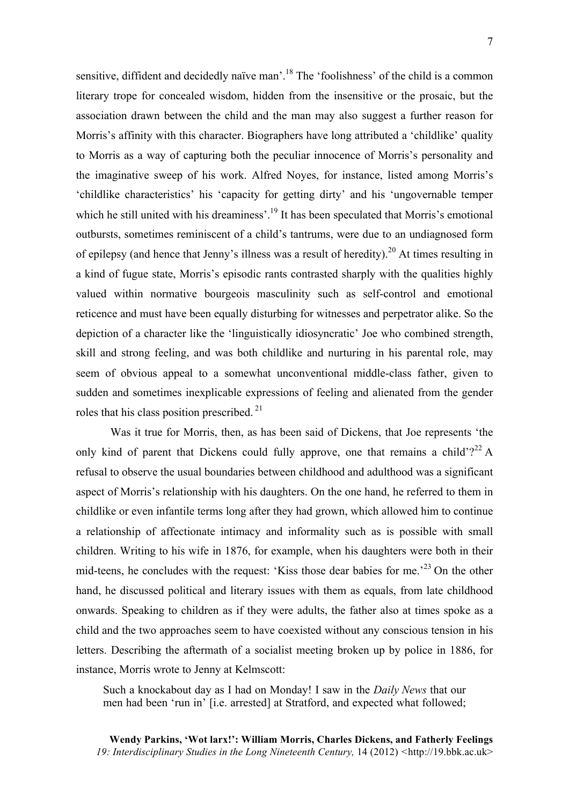sensitive, diffident and decidedly naïve man'.<sup>18</sup> The 'foolishness' of the child is a common literary trope for concealed wisdom, hidden from the insensitive or the prosaic, but the association drawn between the child and the man may also suggest a further reason for Morris's affinity with this character. Biographers have long attributed a 'childlike' quality to Morris as a way of capturing both the peculiar innocence of Morris's personality and the imaginative sweep of his work. Alfred Noyes, for instance, listed among Morris's 'childlike characteristics' his 'capacity for getting dirty' and his 'ungovernable temper which he still united with his dreaminess'.<sup>19</sup> It has been speculated that Morris's emotional outbursts, sometimes reminiscent of a child's tantrums, were due to an undiagnosed form of epilepsy (and hence that Jenny's illness was a result of heredity).<sup>20</sup> At times resulting in a kind of fugue state, Morris's episodic rants contrasted sharply with the qualities highly valued within normative bourgeois masculinity such as self-control and emotional reticence and must have been equally disturbing for witnesses and perpetrator alike. So the depiction of a character like the 'linguistically idiosyncratic' Joe who combined strength, skill and strong feeling, and was both childlike and nurturing in his parental role, may seem of obvious appeal to a somewhat unconventional middle-class father, given to sudden and sometimes inexplicable expressions of feeling and alienated from the gender roles that his class position prescribed. <sup>21</sup>

Was it true for Morris, then, as has been said of Dickens, that Joe represents 'the only kind of parent that Dickens could fully approve, one that remains a child'?<sup>22</sup> A refusal to observe the usual boundaries between childhood and adulthood was a significant aspect of Morris's relationship with his daughters. On the one hand, he referred to them in childlike or even infantile terms long after they had grown, which allowed him to continue a relationship of affectionate intimacy and informality such as is possible with small children. Writing to his wife in 1876, for example, when his daughters were both in their mid-teens, he concludes with the request: 'Kiss those dear babies for me.<sup>23</sup> On the other hand, he discussed political and literary issues with them as equals, from late childhood onwards. Speaking to children as if they were adults, the father also at times spoke as a child and the two approaches seem to have coexisted without any conscious tension in his letters. Describing the aftermath of a socialist meeting broken up by police in 1886, for instance, Morris wrote to Jenny at Kelmscott:

Such a knockabout day as I had on Monday! I saw in the *Daily News* that our men had been 'run in' [i.e. arrested] at Stratford, and expected what followed;

**Wendy Parkins, 'Wot larx!': William Morris, Charles Dickens, and Fatherly Feelings** *19: Interdisciplinary Studies in the Long Nineteenth Century,* 14 (2012) *<*http://19.bbk.ac.uk>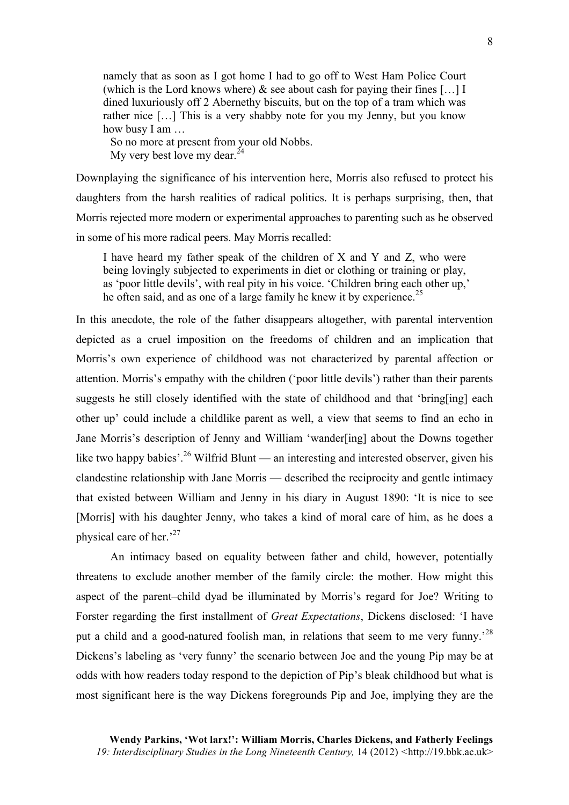namely that as soon as I got home I had to go off to West Ham Police Court (which is the Lord knows where)  $\&$  see about cash for paying their fines [...] I dined luxuriously off 2 Abernethy biscuits, but on the top of a tram which was rather nice […] This is a very shabby note for you my Jenny, but you know how busy I am …

So no more at present from your old Nobbs. My very best love my dear.  $^{24}$ 

Downplaying the significance of his intervention here, Morris also refused to protect his daughters from the harsh realities of radical politics. It is perhaps surprising, then, that Morris rejected more modern or experimental approaches to parenting such as he observed in some of his more radical peers. May Morris recalled:

I have heard my father speak of the children of X and Y and Z, who were being lovingly subjected to experiments in diet or clothing or training or play, as 'poor little devils', with real pity in his voice. 'Children bring each other up,' he often said, and as one of a large family he knew it by experience.<sup>25</sup>

In this anecdote, the role of the father disappears altogether, with parental intervention depicted as a cruel imposition on the freedoms of children and an implication that Morris's own experience of childhood was not characterized by parental affection or attention. Morris's empathy with the children ('poor little devils') rather than their parents suggests he still closely identified with the state of childhood and that 'bring[ing] each other up' could include a childlike parent as well, a view that seems to find an echo in Jane Morris's description of Jenny and William 'wander[ing] about the Downs together like two happy babies'.<sup>26</sup> Wilfrid Blunt — an interesting and interested observer, given his clandestine relationship with Jane Morris — described the reciprocity and gentle intimacy that existed between William and Jenny in his diary in August 1890: 'It is nice to see [Morris] with his daughter Jenny, who takes a kind of moral care of him, as he does a physical care of her.<sup>27</sup>

An intimacy based on equality between father and child, however, potentially threatens to exclude another member of the family circle: the mother. How might this aspect of the parent–child dyad be illuminated by Morris's regard for Joe? Writing to Forster regarding the first installment of *Great Expectations*, Dickens disclosed: 'I have put a child and a good-natured foolish man, in relations that seem to me very funny.'28 Dickens's labeling as 'very funny' the scenario between Joe and the young Pip may be at odds with how readers today respond to the depiction of Pip's bleak childhood but what is most significant here is the way Dickens foregrounds Pip and Joe, implying they are the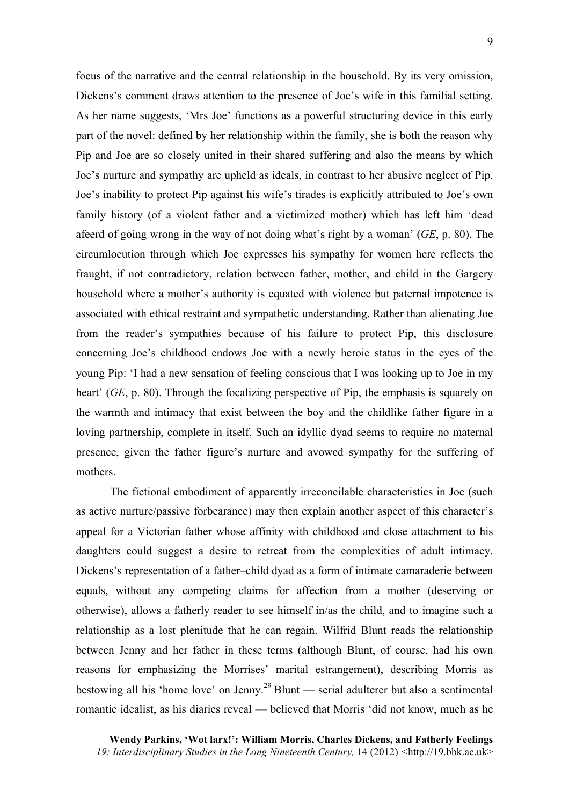focus of the narrative and the central relationship in the household. By its very omission, Dickens's comment draws attention to the presence of Joe's wife in this familial setting. As her name suggests, 'Mrs Joe' functions as a powerful structuring device in this early part of the novel: defined by her relationship within the family, she is both the reason why Pip and Joe are so closely united in their shared suffering and also the means by which Joe's nurture and sympathy are upheld as ideals, in contrast to her abusive neglect of Pip. Joe's inability to protect Pip against his wife's tirades is explicitly attributed to Joe's own family history (of a violent father and a victimized mother) which has left him 'dead afeerd of going wrong in the way of not doing what's right by a woman' (*GE*, p. 80). The circumlocution through which Joe expresses his sympathy for women here reflects the fraught, if not contradictory, relation between father, mother, and child in the Gargery household where a mother's authority is equated with violence but paternal impotence is associated with ethical restraint and sympathetic understanding. Rather than alienating Joe from the reader's sympathies because of his failure to protect Pip, this disclosure concerning Joe's childhood endows Joe with a newly heroic status in the eyes of the young Pip: 'I had a new sensation of feeling conscious that I was looking up to Joe in my heart' (*GE*, p. 80). Through the focalizing perspective of Pip, the emphasis is squarely on the warmth and intimacy that exist between the boy and the childlike father figure in a loving partnership, complete in itself. Such an idyllic dyad seems to require no maternal presence, given the father figure's nurture and avowed sympathy for the suffering of mothers.

The fictional embodiment of apparently irreconcilable characteristics in Joe (such as active nurture/passive forbearance) may then explain another aspect of this character's appeal for a Victorian father whose affinity with childhood and close attachment to his daughters could suggest a desire to retreat from the complexities of adult intimacy. Dickens's representation of a father–child dyad as a form of intimate camaraderie between equals, without any competing claims for affection from a mother (deserving or otherwise), allows a fatherly reader to see himself in/as the child, and to imagine such a relationship as a lost plenitude that he can regain. Wilfrid Blunt reads the relationship between Jenny and her father in these terms (although Blunt, of course, had his own reasons for emphasizing the Morrises' marital estrangement), describing Morris as bestowing all his 'home love' on Jenny.<sup>29</sup> Blunt — serial adulterer but also a sentimental romantic idealist, as his diaries reveal — believed that Morris 'did not know, much as he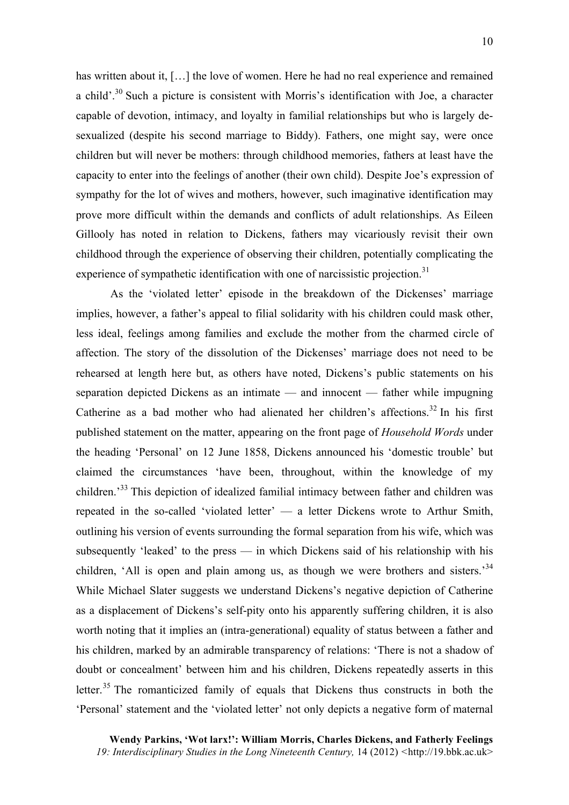has written about it, [...] the love of women. Here he had no real experience and remained a child'. $30$  Such a picture is consistent with Morris's identification with Joe, a character capable of devotion, intimacy, and loyalty in familial relationships but who is largely desexualized (despite his second marriage to Biddy). Fathers, one might say, were once children but will never be mothers: through childhood memories, fathers at least have the capacity to enter into the feelings of another (their own child). Despite Joe's expression of sympathy for the lot of wives and mothers, however, such imaginative identification may prove more difficult within the demands and conflicts of adult relationships. As Eileen Gillooly has noted in relation to Dickens, fathers may vicariously revisit their own childhood through the experience of observing their children, potentially complicating the experience of sympathetic identification with one of narcissistic projection.<sup>31</sup>

As the 'violated letter' episode in the breakdown of the Dickenses' marriage implies, however, a father's appeal to filial solidarity with his children could mask other, less ideal, feelings among families and exclude the mother from the charmed circle of affection. The story of the dissolution of the Dickenses' marriage does not need to be rehearsed at length here but, as others have noted, Dickens's public statements on his separation depicted Dickens as an intimate — and innocent — father while impugning Catherine as a bad mother who had alienated her children's affections. <sup>32</sup> In his first published statement on the matter, appearing on the front page of *Household Words* under the heading 'Personal' on 12 June 1858, Dickens announced his 'domestic trouble' but claimed the circumstances 'have been, throughout, within the knowledge of my children.<sup>33</sup> This depiction of idealized familial intimacy between father and children was repeated in the so-called 'violated letter' — a letter Dickens wrote to Arthur Smith, outlining his version of events surrounding the formal separation from his wife, which was subsequently 'leaked' to the press — in which Dickens said of his relationship with his children, 'All is open and plain among us, as though we were brothers and sisters.<sup>34</sup> While Michael Slater suggests we understand Dickens's negative depiction of Catherine as a displacement of Dickens's self-pity onto his apparently suffering children, it is also worth noting that it implies an (intra-generational) equality of status between a father and his children, marked by an admirable transparency of relations: 'There is not a shadow of doubt or concealment' between him and his children, Dickens repeatedly asserts in this letter.<sup>35</sup> The romanticized family of equals that Dickens thus constructs in both the 'Personal' statement and the 'violated letter' not only depicts a negative form of maternal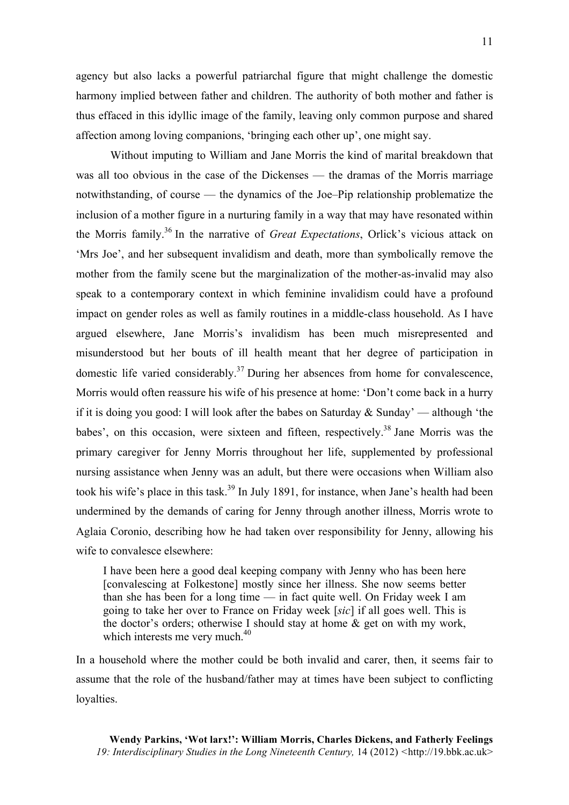agency but also lacks a powerful patriarchal figure that might challenge the domestic harmony implied between father and children. The authority of both mother and father is thus effaced in this idyllic image of the family, leaving only common purpose and shared affection among loving companions, 'bringing each other up', one might say.

Without imputing to William and Jane Morris the kind of marital breakdown that was all too obvious in the case of the Dickenses — the dramas of the Morris marriage notwithstanding, of course — the dynamics of the Joe–Pip relationship problematize the inclusion of a mother figure in a nurturing family in a way that may have resonated within the Morris family. <sup>36</sup> In the narrative of *Great Expectations*, Orlick's vicious attack on 'Mrs Joe', and her subsequent invalidism and death, more than symbolically remove the mother from the family scene but the marginalization of the mother-as-invalid may also speak to a contemporary context in which feminine invalidism could have a profound impact on gender roles as well as family routines in a middle-class household. As I have argued elsewhere, Jane Morris's invalidism has been much misrepresented and misunderstood but her bouts of ill health meant that her degree of participation in domestic life varied considerably.<sup>37</sup> During her absences from home for convalescence, Morris would often reassure his wife of his presence at home: 'Don't come back in a hurry if it is doing you good: I will look after the babes on Saturday  $& Sunday'$  — although 'the babes', on this occasion, were sixteen and fifteen, respectively.<sup>38</sup> Jane Morris was the primary caregiver for Jenny Morris throughout her life, supplemented by professional nursing assistance when Jenny was an adult, but there were occasions when William also took his wife's place in this task.<sup>39</sup> In July 1891, for instance, when Jane's health had been undermined by the demands of caring for Jenny through another illness, Morris wrote to Aglaia Coronio, describing how he had taken over responsibility for Jenny, allowing his wife to convalesce elsewhere:

I have been here a good deal keeping company with Jenny who has been here [convalescing at Folkestone] mostly since her illness. She now seems better than she has been for a long time — in fact quite well. On Friday week I am going to take her over to France on Friday week [*sic*] if all goes well. This is the doctor's orders; otherwise I should stay at home & get on with my work, which interests me very much.<sup>40</sup>

In a household where the mother could be both invalid and carer, then, it seems fair to assume that the role of the husband/father may at times have been subject to conflicting loyalties.

**Wendy Parkins, 'Wot larx!': William Morris, Charles Dickens, and Fatherly Feelings** *19: Interdisciplinary Studies in the Long Nineteenth Century,* 14 (2012) *<*http://19.bbk.ac.uk>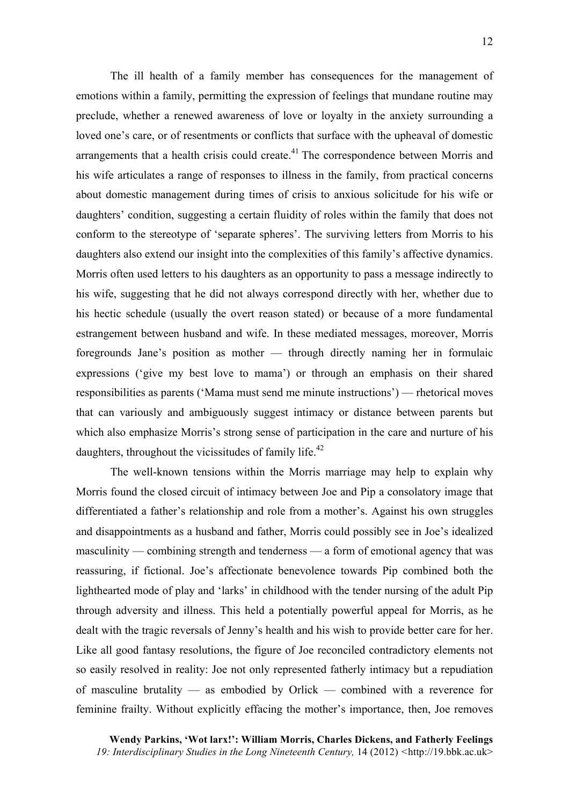The ill health of a family member has consequences for the management of emotions within a family, permitting the expression of feelings that mundane routine may preclude, whether a renewed awareness of love or loyalty in the anxiety surrounding a loved one's care, or of resentments or conflicts that surface with the upheaval of domestic arrangements that a health crisis could create. $41$  The correspondence between Morris and his wife articulates a range of responses to illness in the family, from practical concerns about domestic management during times of crisis to anxious solicitude for his wife or daughters' condition, suggesting a certain fluidity of roles within the family that does not conform to the stereotype of 'separate spheres'. The surviving letters from Morris to his daughters also extend our insight into the complexities of this family's affective dynamics. Morris often used letters to his daughters as an opportunity to pass a message indirectly to his wife, suggesting that he did not always correspond directly with her, whether due to his hectic schedule (usually the overt reason stated) or because of a more fundamental estrangement between husband and wife. In these mediated messages, moreover, Morris foregrounds Jane's position as mother — through directly naming her in formulaic expressions ('give my best love to mama') or through an emphasis on their shared responsibilities as parents ('Mama must send me minute instructions') — rhetorical moves that can variously and ambiguously suggest intimacy or distance between parents but which also emphasize Morris's strong sense of participation in the care and nurture of his daughters, throughout the vicissitudes of family life.<sup>42</sup>

The well-known tensions within the Morris marriage may help to explain why Morris found the closed circuit of intimacy between Joe and Pip a consolatory image that differentiated a father's relationship and role from a mother's. Against his own struggles and disappointments as a husband and father, Morris could possibly see in Joe's idealized masculinity — combining strength and tenderness — a form of emotional agency that was reassuring, if fictional. Joe's affectionate benevolence towards Pip combined both the lighthearted mode of play and 'larks' in childhood with the tender nursing of the adult Pip through adversity and illness. This held a potentially powerful appeal for Morris, as he dealt with the tragic reversals of Jenny's health and his wish to provide better care for her. Like all good fantasy resolutions, the figure of Joe reconciled contradictory elements not so easily resolved in reality: Joe not only represented fatherly intimacy but a repudiation of masculine brutality — as embodied by Orlick — combined with a reverence for feminine frailty. Without explicitly effacing the mother's importance, then, Joe removes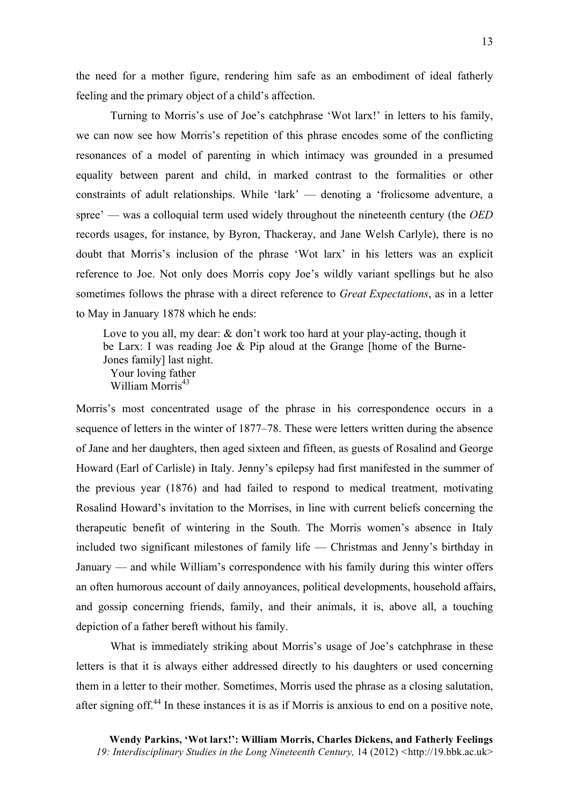the need for a mother figure, rendering him safe as an embodiment of ideal fatherly feeling and the primary object of a child's affection.

Turning to Morris's use of Joe's catchphrase 'Wot larx!' in letters to his family, we can now see how Morris's repetition of this phrase encodes some of the conflicting resonances of a model of parenting in which intimacy was grounded in a presumed equality between parent and child, in marked contrast to the formalities or other constraints of adult relationships. While 'lark' — denoting a 'frolicsome adventure, a spree' — was a colloquial term used widely throughout the nineteenth century (the *OED* records usages, for instance, by Byron, Thackeray, and Jane Welsh Carlyle), there is no doubt that Morris's inclusion of the phrase 'Wot larx' in his letters was an explicit reference to Joe. Not only does Morris copy Joe's wildly variant spellings but he also sometimes follows the phrase with a direct reference to *Great Expectations*, as in a letter to May in January 1878 which he ends:

Love to you all, my dear: & don't work too hard at your play-acting, though it be Larx: I was reading Joe & Pip aloud at the Grange [home of the Burne-Jones family] last night. Your loving father William Morris<sup>43</sup>

Morris's most concentrated usage of the phrase in his correspondence occurs in a sequence of letters in the winter of 1877–78. These were letters written during the absence of Jane and her daughters, then aged sixteen and fifteen, as guests of Rosalind and George Howard (Earl of Carlisle) in Italy. Jenny's epilepsy had first manifested in the summer of the previous year (1876) and had failed to respond to medical treatment, motivating Rosalind Howard's invitation to the Morrises, in line with current beliefs concerning the therapeutic benefit of wintering in the South. The Morris women's absence in Italy included two significant milestones of family life — Christmas and Jenny's birthday in January — and while William's correspondence with his family during this winter offers an often humorous account of daily annoyances, political developments, household affairs, and gossip concerning friends, family, and their animals, it is, above all, a touching depiction of a father bereft without his family.

What is immediately striking about Morris's usage of Joe's catchphrase in these letters is that it is always either addressed directly to his daughters or used concerning them in a letter to their mother. Sometimes, Morris used the phrase as a closing salutation, after signing off.<sup>44</sup> In these instances it is as if Morris is anxious to end on a positive note,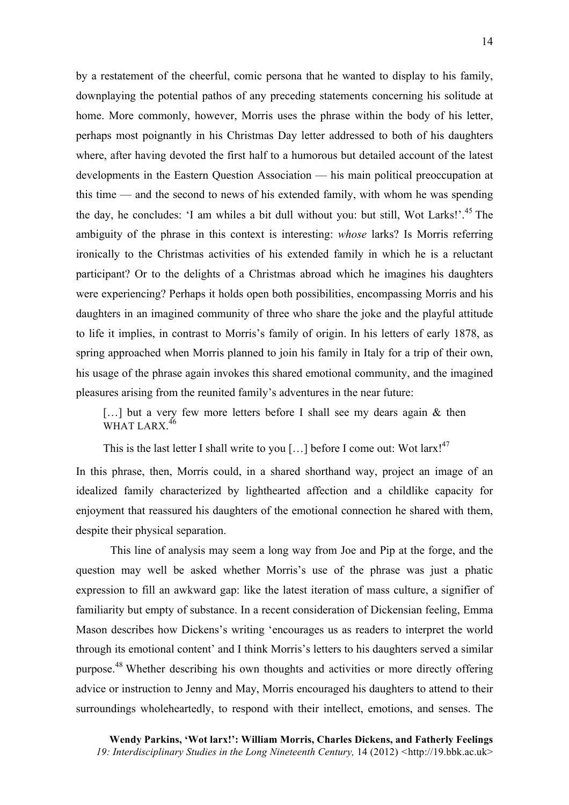by a restatement of the cheerful, comic persona that he wanted to display to his family, downplaying the potential pathos of any preceding statements concerning his solitude at home. More commonly, however, Morris uses the phrase within the body of his letter, perhaps most poignantly in his Christmas Day letter addressed to both of his daughters where, after having devoted the first half to a humorous but detailed account of the latest developments in the Eastern Question Association — his main political preoccupation at this time — and the second to news of his extended family, with whom he was spending the day, he concludes: 'I am whiles a bit dull without you: but still, Wot Larks!'.<sup>45</sup> The ambiguity of the phrase in this context is interesting: *whose* larks? Is Morris referring ironically to the Christmas activities of his extended family in which he is a reluctant participant? Or to the delights of a Christmas abroad which he imagines his daughters were experiencing? Perhaps it holds open both possibilities, encompassing Morris and his daughters in an imagined community of three who share the joke and the playful attitude to life it implies, in contrast to Morris's family of origin. In his letters of early 1878, as spring approached when Morris planned to join his family in Italy for a trip of their own, his usage of the phrase again invokes this shared emotional community, and the imagined pleasures arising from the reunited family's adventures in the near future:

[...] but a very few more letters before I shall see my dears again & then WHAT LARX. 46

This is the last letter I shall write to you [...] before I come out: Wot larx!<sup>47</sup>

In this phrase, then, Morris could, in a shared shorthand way, project an image of an idealized family characterized by lighthearted affection and a childlike capacity for enjoyment that reassured his daughters of the emotional connection he shared with them, despite their physical separation.

This line of analysis may seem a long way from Joe and Pip at the forge, and the question may well be asked whether Morris's use of the phrase was just a phatic expression to fill an awkward gap: like the latest iteration of mass culture, a signifier of familiarity but empty of substance. In a recent consideration of Dickensian feeling, Emma Mason describes how Dickens's writing 'encourages us as readers to interpret the world through its emotional content' and I think Morris's letters to his daughters served a similar purpose.<sup>48</sup> Whether describing his own thoughts and activities or more directly offering advice or instruction to Jenny and May, Morris encouraged his daughters to attend to their surroundings wholeheartedly, to respond with their intellect, emotions, and senses. The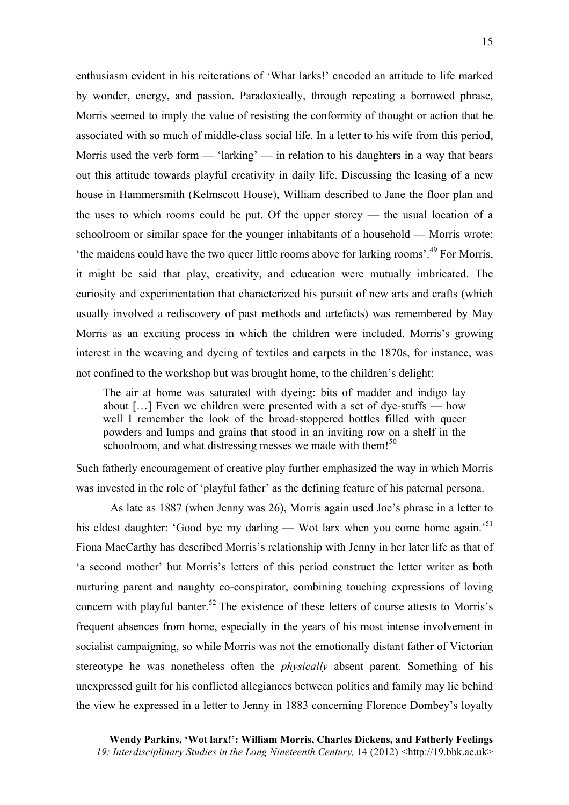enthusiasm evident in his reiterations of 'What larks!' encoded an attitude to life marked by wonder, energy, and passion. Paradoxically, through repeating a borrowed phrase, Morris seemed to imply the value of resisting the conformity of thought or action that he associated with so much of middle-class social life. In a letter to his wife from this period, Morris used the verb form — 'larking' — in relation to his daughters in a way that bears out this attitude towards playful creativity in daily life. Discussing the leasing of a new house in Hammersmith (Kelmscott House), William described to Jane the floor plan and the uses to which rooms could be put. Of the upper storey — the usual location of a schoolroom or similar space for the younger inhabitants of a household — Morris wrote: 'the maidens could have the two queer little rooms above for larking rooms'. <sup>49</sup> For Morris, it might be said that play, creativity, and education were mutually imbricated. The curiosity and experimentation that characterized his pursuit of new arts and crafts (which usually involved a rediscovery of past methods and artefacts) was remembered by May Morris as an exciting process in which the children were included. Morris's growing interest in the weaving and dyeing of textiles and carpets in the 1870s, for instance, was not confined to the workshop but was brought home, to the children's delight:

The air at home was saturated with dyeing: bits of madder and indigo lay about […] Even we children were presented with a set of dye-stuffs — how well I remember the look of the broad-stoppered bottles filled with queer powders and lumps and grains that stood in an inviting row on a shelf in the schoolroom, and what distressing messes we made with them!<sup>50</sup>

Such fatherly encouragement of creative play further emphasized the way in which Morris was invested in the role of 'playful father' as the defining feature of his paternal persona.

As late as 1887 (when Jenny was 26), Morris again used Joe's phrase in a letter to his eldest daughter: 'Good bye my darling — Wot larx when you come home again.'<sup>51</sup> Fiona MacCarthy has described Morris's relationship with Jenny in her later life as that of 'a second mother' but Morris's letters of this period construct the letter writer as both nurturing parent and naughty co-conspirator, combining touching expressions of loving concern with playful banter.<sup>52</sup> The existence of these letters of course attests to Morris's frequent absences from home, especially in the years of his most intense involvement in socialist campaigning, so while Morris was not the emotionally distant father of Victorian stereotype he was nonetheless often the *physically* absent parent. Something of his unexpressed guilt for his conflicted allegiances between politics and family may lie behind the view he expressed in a letter to Jenny in 1883 concerning Florence Dombey's loyalty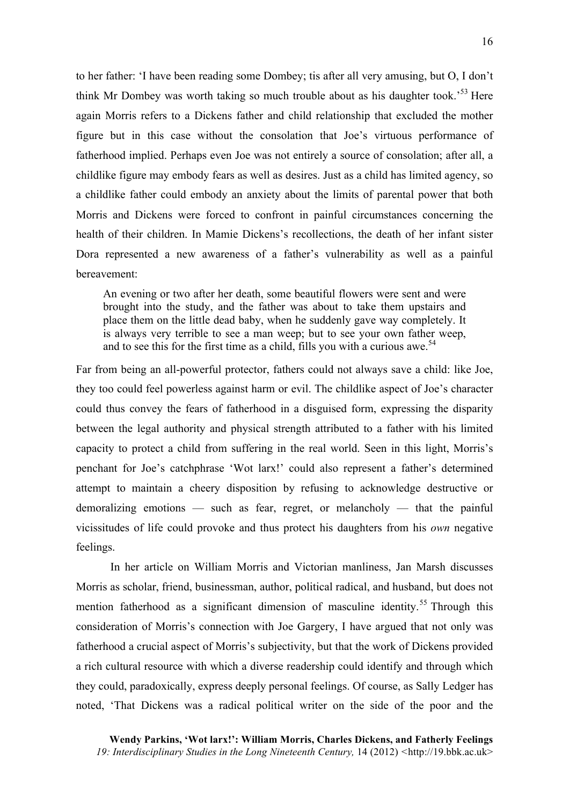to her father: 'I have been reading some Dombey; tis after all very amusing, but O, I don't think Mr Dombey was worth taking so much trouble about as his daughter took.<sup>53</sup> Here again Morris refers to a Dickens father and child relationship that excluded the mother figure but in this case without the consolation that Joe's virtuous performance of fatherhood implied. Perhaps even Joe was not entirely a source of consolation; after all, a childlike figure may embody fears as well as desires. Just as a child has limited agency, so a childlike father could embody an anxiety about the limits of parental power that both Morris and Dickens were forced to confront in painful circumstances concerning the health of their children. In Mamie Dickens's recollections, the death of her infant sister Dora represented a new awareness of a father's vulnerability as well as a painful bereavement:

An evening or two after her death, some beautiful flowers were sent and were brought into the study, and the father was about to take them upstairs and place them on the little dead baby, when he suddenly gave way completely. It is always very terrible to see a man weep; but to see your own father weep, and to see this for the first time as a child, fills you with a curious awe.<sup>54</sup>

Far from being an all-powerful protector, fathers could not always save a child: like Joe, they too could feel powerless against harm or evil. The childlike aspect of Joe's character could thus convey the fears of fatherhood in a disguised form, expressing the disparity between the legal authority and physical strength attributed to a father with his limited capacity to protect a child from suffering in the real world. Seen in this light, Morris's penchant for Joe's catchphrase 'Wot larx!' could also represent a father's determined attempt to maintain a cheery disposition by refusing to acknowledge destructive or demoralizing emotions — such as fear, regret, or melancholy — that the painful vicissitudes of life could provoke and thus protect his daughters from his *own* negative feelings.

In her article on William Morris and Victorian manliness, Jan Marsh discusses Morris as scholar, friend, businessman, author, political radical, and husband, but does not mention fatherhood as a significant dimension of masculine identity.<sup>55</sup> Through this consideration of Morris's connection with Joe Gargery, I have argued that not only was fatherhood a crucial aspect of Morris's subjectivity, but that the work of Dickens provided a rich cultural resource with which a diverse readership could identify and through which they could, paradoxically, express deeply personal feelings. Of course, as Sally Ledger has noted, 'That Dickens was a radical political writer on the side of the poor and the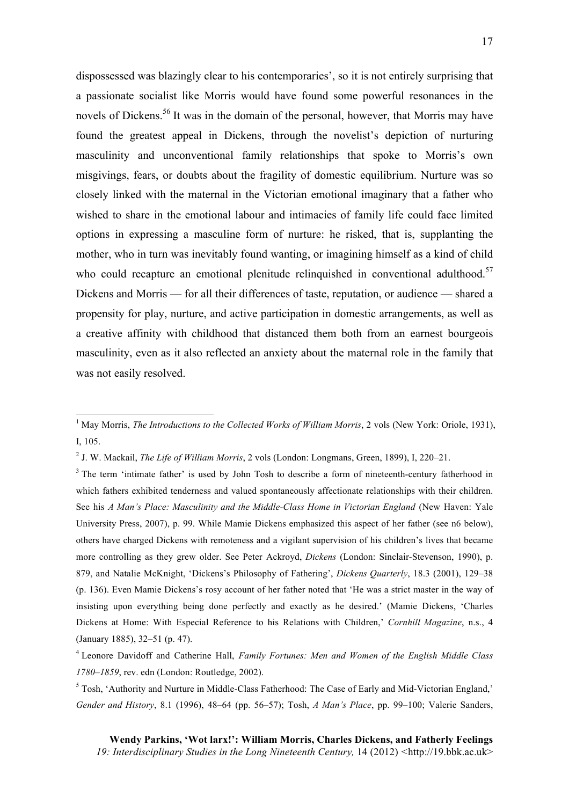dispossessed was blazingly clear to his contemporaries', so it is not entirely surprising that a passionate socialist like Morris would have found some powerful resonances in the novels of Dickens.<sup>56</sup> It was in the domain of the personal, however, that Morris may have found the greatest appeal in Dickens, through the novelist's depiction of nurturing masculinity and unconventional family relationships that spoke to Morris's own misgivings, fears, or doubts about the fragility of domestic equilibrium. Nurture was so closely linked with the maternal in the Victorian emotional imaginary that a father who wished to share in the emotional labour and intimacies of family life could face limited options in expressing a masculine form of nurture: he risked, that is, supplanting the mother, who in turn was inevitably found wanting, or imagining himself as a kind of child who could recapture an emotional plenitude relinquished in conventional adulthood.<sup>57</sup> Dickens and Morris — for all their differences of taste, reputation, or audience — shared a propensity for play, nurture, and active participation in domestic arrangements, as well as a creative affinity with childhood that distanced them both from an earnest bourgeois masculinity, even as it also reflected an anxiety about the maternal role in the family that was not easily resolved.

<sup>&</sup>lt;sup>1</sup> May Morris, *The Introductions to the Collected Works of William Morris*, 2 vols (New York: Oriole, 1931), I, 105.

<sup>2</sup> J. W. Mackail, *The Life of William Morris*, 2 vols (London: Longmans, Green, 1899), I, 220–21.

<sup>&</sup>lt;sup>3</sup> The term 'intimate father' is used by John Tosh to describe a form of nineteenth-century fatherhood in which fathers exhibited tenderness and valued spontaneously affectionate relationships with their children. See his *A Man's Place: Masculinity and the Middle-Class Home in Victorian England* (New Haven: Yale University Press, 2007), p. 99. While Mamie Dickens emphasized this aspect of her father (see n6 below), others have charged Dickens with remoteness and a vigilant supervision of his children's lives that became more controlling as they grew older. See Peter Ackroyd, *Dickens* (London: Sinclair-Stevenson, 1990), p. 879, and Natalie McKnight, 'Dickens's Philosophy of Fathering', *Dickens Quarterly*, 18.3 (2001), 129–38 (p. 136). Even Mamie Dickens's rosy account of her father noted that 'He was a strict master in the way of insisting upon everything being done perfectly and exactly as he desired.' (Mamie Dickens, 'Charles Dickens at Home: With Especial Reference to his Relations with Children,' *Cornhill Magazine*, n.s., 4 (January 1885), 32–51 (p. 47).

<sup>4</sup> Leonore Davidoff and Catherine Hall, *Family Fortunes: Men and Women of the English Middle Class 1780–1859*, rev. edn (London: Routledge, 2002).

<sup>5</sup> Tosh, 'Authority and Nurture in Middle-Class Fatherhood: The Case of Early and Mid-Victorian England,' *Gender and History*, 8.1 (1996), 48–64 (pp. 56–57); Tosh, *A Man's Place*, pp. 99–100; Valerie Sanders,

**Wendy Parkins, 'Wot larx!': William Morris, Charles Dickens, and Fatherly Feelings** *19: Interdisciplinary Studies in the Long Nineteenth Century,* 14 (2012) *<*http://19.bbk.ac.uk>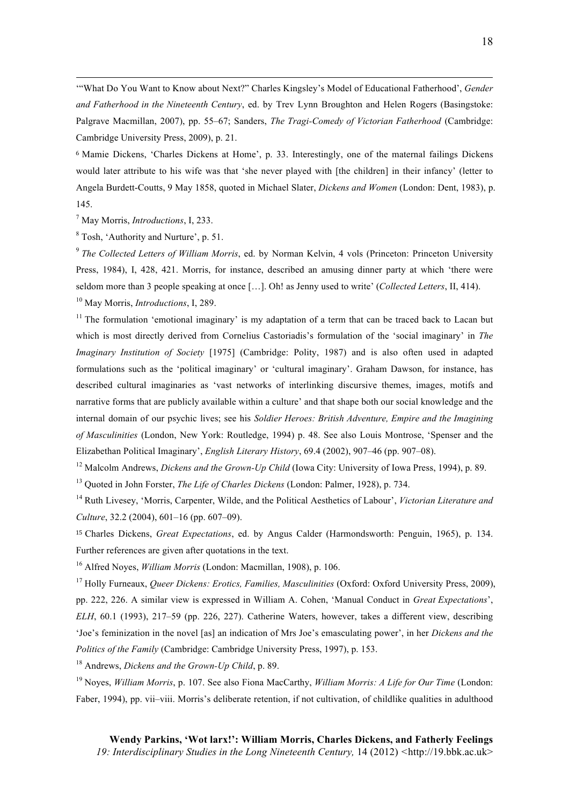'"What Do You Want to Know about Next?" Charles Kingsley's Model of Educational Fatherhood', *Gender and Fatherhood in the Nineteenth Century*, ed. by Trev Lynn Broughton and Helen Rogers (Basingstoke: Palgrave Macmillan, 2007), pp. 55–67; Sanders, *The Tragi-Comedy of Victorian Fatherhood* (Cambridge: Cambridge University Press, 2009), p. 21.

<u> 1989 - Andrea Santa Andrea Andrea Andrea Andrea Andrea Andrea Andrea Andrea Andrea Andrea Andrea Andrea Andr</u>

<sup>6</sup> Mamie Dickens, 'Charles Dickens at Home', p. 33. Interestingly, one of the maternal failings Dickens would later attribute to his wife was that 'she never played with [the children] in their infancy' (letter to Angela Burdett-Coutts, 9 May 1858, quoted in Michael Slater, *Dickens and Women* (London: Dent, 1983), p. 145.

<sup>7</sup> May Morris, *Introductions*, I, 233.

<sup>8</sup> Tosh, 'Authority and Nurture', p. 51.

<sup>9</sup> *The Collected Letters of William Morris*, ed. by Norman Kelvin, 4 vols (Princeton: Princeton University Press, 1984), I, 428, 421. Morris, for instance, described an amusing dinner party at which 'there were seldom more than 3 people speaking at once […]. Oh! as Jenny used to write' (*Collected Letters*, II, 414). <sup>10</sup> May Morris, *Introductions*, I, 289.

 $11$  The formulation 'emotional imaginary' is my adaptation of a term that can be traced back to Lacan but which is most directly derived from Cornelius Castoriadis's formulation of the 'social imaginary' in *The Imaginary Institution of Society* [1975] (Cambridge: Polity, 1987) and is also often used in adapted formulations such as the 'political imaginary' or 'cultural imaginary'. Graham Dawson, for instance, has described cultural imaginaries as 'vast networks of interlinking discursive themes, images, motifs and narrative forms that are publicly available within a culture' and that shape both our social knowledge and the internal domain of our psychic lives; see his *Soldier Heroes: British Adventure, Empire and the Imagining of Masculinities* (London, New York: Routledge, 1994) p. 48. See also Louis Montrose, 'Spenser and the Elizabethan Political Imaginary', *English Literary History*, 69.4 (2002), 907–46 (pp. 907–08).

<sup>12</sup> Malcolm Andrews, *Dickens and the Grown-Up Child* (Iowa City: University of Iowa Press, 1994), p. 89. <sup>13</sup> Quoted in John Forster, *The Life of Charles Dickens* (London: Palmer, 1928), p. 734.

<sup>14</sup> Ruth Livesey, 'Morris, Carpenter, Wilde, and the Political Aesthetics of Labour', *Victorian Literature and Culture*, 32.2 (2004), 601–16 (pp. 607–09).

<sup>15</sup> Charles Dickens, *Great Expectations*, ed. by Angus Calder (Harmondsworth: Penguin, 1965), p. 134. Further references are given after quotations in the text.

<sup>16</sup> Alfred Noyes, *William Morris* (London: Macmillan, 1908), p. 106.

<sup>17</sup> Holly Furneaux, *Queer Dickens: Erotics, Families, Masculinities* (Oxford: Oxford University Press, 2009), pp. 222, 226. A similar view is expressed in William A. Cohen, 'Manual Conduct in *Great Expectations*', *ELH*, 60.1 (1993), 217–59 (pp. 226, 227). Catherine Waters, however, takes a different view, describing 'Joe's feminization in the novel [as] an indication of Mrs Joe's emasculating power', in her *Dickens and the Politics of the Family* (Cambridge: Cambridge University Press, 1997), p. 153.

<sup>18</sup> Andrews, *Dickens and the Grown-Up Child*, p. 89.

<sup>19</sup> Noyes, *William Morris*, p. 107. See also Fiona MacCarthy, *William Morris: A Life for Our Time* (London: Faber, 1994), pp. vii–viii. Morris's deliberate retention, if not cultivation, of childlike qualities in adulthood

**Wendy Parkins, 'Wot larx!': William Morris, Charles Dickens, and Fatherly Feelings** *19: Interdisciplinary Studies in the Long Nineteenth Century,* 14 (2012) *<*http://19.bbk.ac.uk>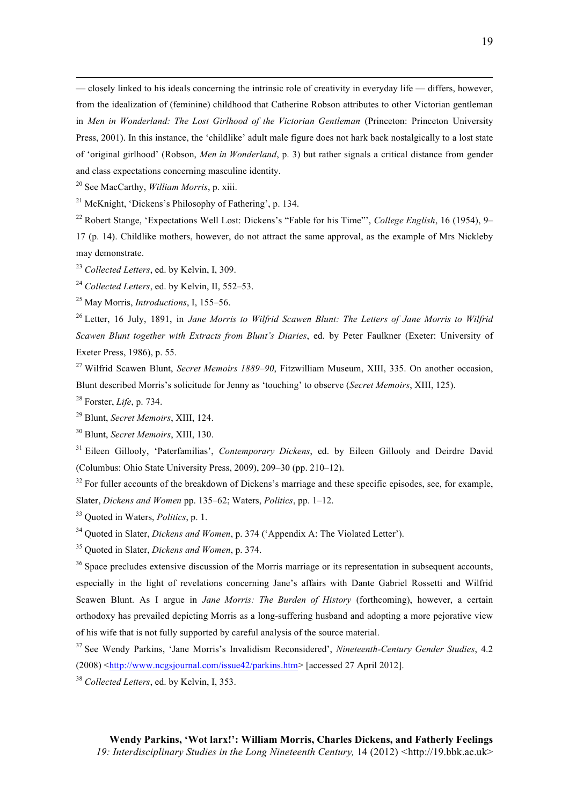— closely linked to his ideals concerning the intrinsic role of creativity in everyday life — differs, however, from the idealization of (feminine) childhood that Catherine Robson attributes to other Victorian gentleman in *Men in Wonderland: The Lost Girlhood of the Victorian Gentleman* (Princeton: Princeton University Press, 2001). In this instance, the 'childlike' adult male figure does not hark back nostalgically to a lost state of 'original girlhood' (Robson, *Men in Wonderland*, p. 3) but rather signals a critical distance from gender and class expectations concerning masculine identity.

<u> 1989 - Andrea Santa Andrea Andrea Andrea Andrea Andrea Andrea Andrea Andrea Andrea Andrea Andrea Andrea Andr</u>

<sup>20</sup> See MacCarthy, *William Morris*, p. xiii.

<sup>21</sup> McKnight, 'Dickens's Philosophy of Fathering', p. 134.

<sup>22</sup> Robert Stange, 'Expectations Well Lost: Dickens's "Fable for his Time"', *College English*, 16 (1954), 9– 17 (p. 14). Childlike mothers, however, do not attract the same approval, as the example of Mrs Nickleby may demonstrate.

<sup>23</sup> *Collected Letters*, ed. by Kelvin, I, 309.

<sup>24</sup> *Collected Letters*, ed. by Kelvin, II, 552–53.

<sup>25</sup> May Morris, *Introductions*, I, 155–56.

<sup>26</sup> Letter, 16 July, 1891, in *Jane Morris to Wilfrid Scawen Blunt: The Letters of Jane Morris to Wilfrid Scawen Blunt together with Extracts from Blunt's Diaries*, ed. by Peter Faulkner (Exeter: University of Exeter Press, 1986), p. 55.

<sup>27</sup> Wilfrid Scawen Blunt, *Secret Memoirs 1889–90*, Fitzwilliam Museum, XIII, 335. On another occasion, Blunt described Morris's solicitude for Jenny as 'touching' to observe (*Secret Memoirs*, XIII, 125).

<sup>28</sup> Forster, *Life*, p. 734.

<sup>29</sup> Blunt, *Secret Memoirs*, XIII, 124.

<sup>30</sup> Blunt, *Secret Memoirs*, XIII, 130.

<sup>31</sup> Eileen Gillooly, 'Paterfamilias', *Contemporary Dickens*, ed. by Eileen Gillooly and Deirdre David (Columbus: Ohio State University Press, 2009), 209–30 (pp. 210–12).

 $32$  For fuller accounts of the breakdown of Dickens's marriage and these specific episodes, see, for example, Slater, *Dickens and Women* pp. 135–62; Waters, *Politics*, pp. 1–12.

<sup>33</sup> Quoted in Waters, *Politics*, p. 1.

<sup>34</sup> Quoted in Slater, *Dickens and Women*, p. 374 ('Appendix A: The Violated Letter').

<sup>35</sup> Quoted in Slater, *Dickens and Women*, p. 374.

 $36$  Space precludes extensive discussion of the Morris marriage or its representation in subsequent accounts, especially in the light of revelations concerning Jane's affairs with Dante Gabriel Rossetti and Wilfrid Scawen Blunt. As I argue in *Jane Morris: The Burden of History* (forthcoming), however, a certain orthodoxy has prevailed depicting Morris as a long-suffering husband and adopting a more pejorative view of his wife that is not fully supported by careful analysis of the source material.

<sup>37</sup> See Wendy Parkins, 'Jane Morris's Invalidism Reconsidered', *Nineteenth-Century Gender Studies*, 4.2 (2008) <http://www.ncgsjournal.com/issue42/parkins.htm> [accessed 27 April 2012].

<sup>38</sup> *Collected Letters*, ed. by Kelvin, I, 353.